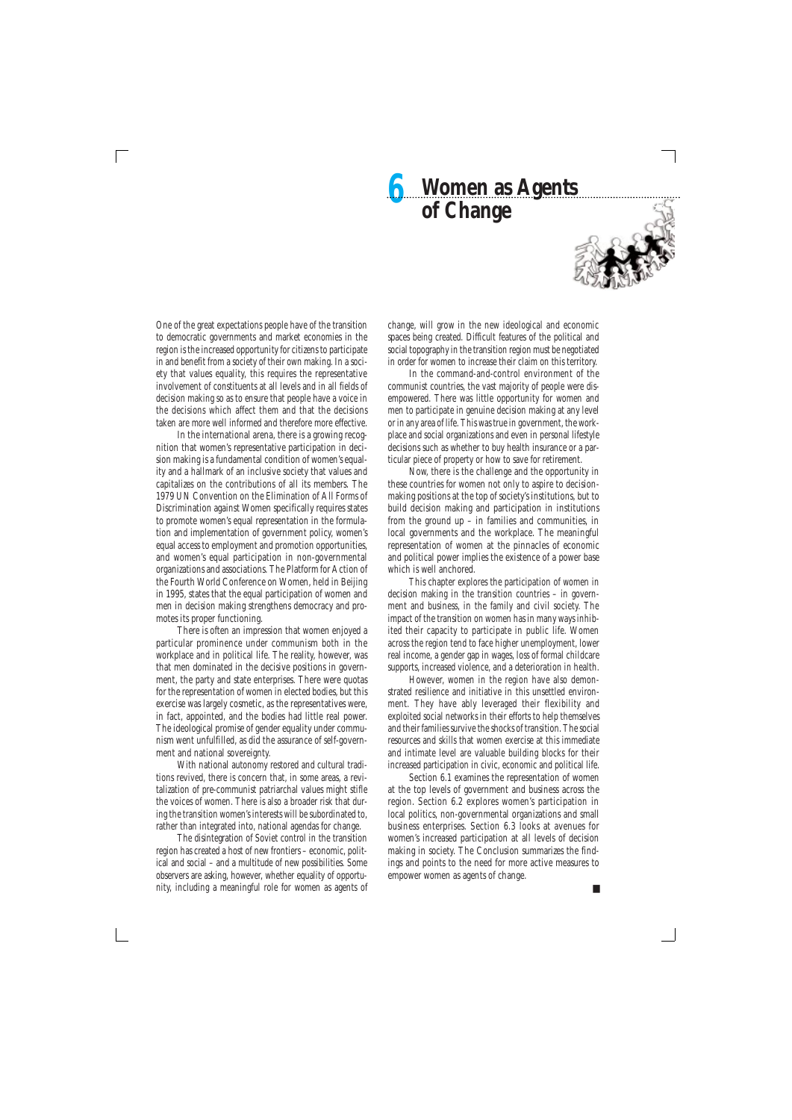# *6* **Women as Agents of Change**



One of the great expectations people have of the transition to democratic governments and market economies in the region is the increased opportunity for citizens to participate in and benefit from a society of their own making. In a society that values equality, this requires the representative involvement of constituents at all levels and in all fields of decision making so as to ensure that people have a voice in the decisions which affect them and that the decisions taken are more well informed and therefore more effective.

In the international arena, there is a growing recognition that women's representative participation in decision making is a fundamental condition of women's equality and a hallmark of an inclusive society that values and capitalizes on the contributions of all its members. The 1979 UN Convention on the Elimination of All Forms of Discrimination against Women specifically requires states to promote women's equal representation in the formulation and implementation of government policy, women's equal access to employment and promotion opportunities, and women's equal participation in non-governmental organizations and associations. The Platform for Action of the Fourth World Conference on Women, held in Beijing in 1995, states that the equal participation of women and men in decision making strengthens democracy and promotes its proper functioning.

There is often an impression that women enjoyed a particular prominence under communism both in the workplace and in political life. The reality, however, was that men dominated in the decisive positions in government, the party and state enterprises. There were quotas for the representation of women in elected bodies, but this exercise was largely cosmetic, as the representatives were, in fact, appointed, and the bodies had little real power. The ideological promise of gender equality under communism went unfulfilled, as did the assurance of self-government and national sovereignty.

With national autonomy restored and cultural traditions revived, there is concern that, in some areas, a revitalization of pre-communist patriarchal values might stifle the voices of women. There is also a broader risk that during the transition women's interests will be subordinated to, rather than integrated into, national agendas for change.

The disintegration of Soviet control in the transition region has created a host of new frontiers – economic, political and social – and a multitude of new possibilities. Some observers are asking, however, whether equality of opportunity, including a meaningful role for women as agents of

change, will grow in the new ideological and economic spaces being created. Difficult features of the political and social topography in the transition region must be negotiated in order for women to increase their claim on this territory.

In the command-and-control environment of the communist countries, the vast majority of people were disempowered. There was little opportunity for women and men to participate in genuine decision making at any level or in any area of life. This was true in government, the workplace and social organizations and even in personal lifestyle decisions such as whether to buy health insurance or a particular piece of property or how to save for retirement.

Now, there is the challenge and the opportunity in these countries for women not only to aspire to decisionmaking positions at the top of society's institutions, but to build decision making and participation in institutions from the ground up – in families and communities, in local governments and the workplace. The meaningful representation of women at the pinnacles of economic and political power implies the existence of a power base which is well anchored.

This chapter explores the participation of women in decision making in the transition countries – in government and business, in the family and civil society. The impact of the transition on women has in many ways inhibited their capacity to participate in public life. Women across the region tend to face higher unemployment, lower real income, a gender gap in wages, loss of formal childcare supports, increased violence, and a deterioration in health.

However, women in the region have also demonstrated resilience and initiative in this unsettled environment. They have ably leveraged their flexibility and exploited social networks in their efforts to help themselves and their families survive the shocks of transition. The social resources and skills that women exercise at this immediate and intimate level are valuable building blocks for their increased participation in civic, economic and political life.

Section 6.1 examines the representation of women at the top levels of government and business across the region. Section 6.2 explores women's participation in local politics, non-governmental organizations and small business enterprises. Section 6.3 looks at avenues for women's increased participation at all levels of decision making in society. The Conclusion summarizes the findings and points to the need for more active measures to empower women as agents of change.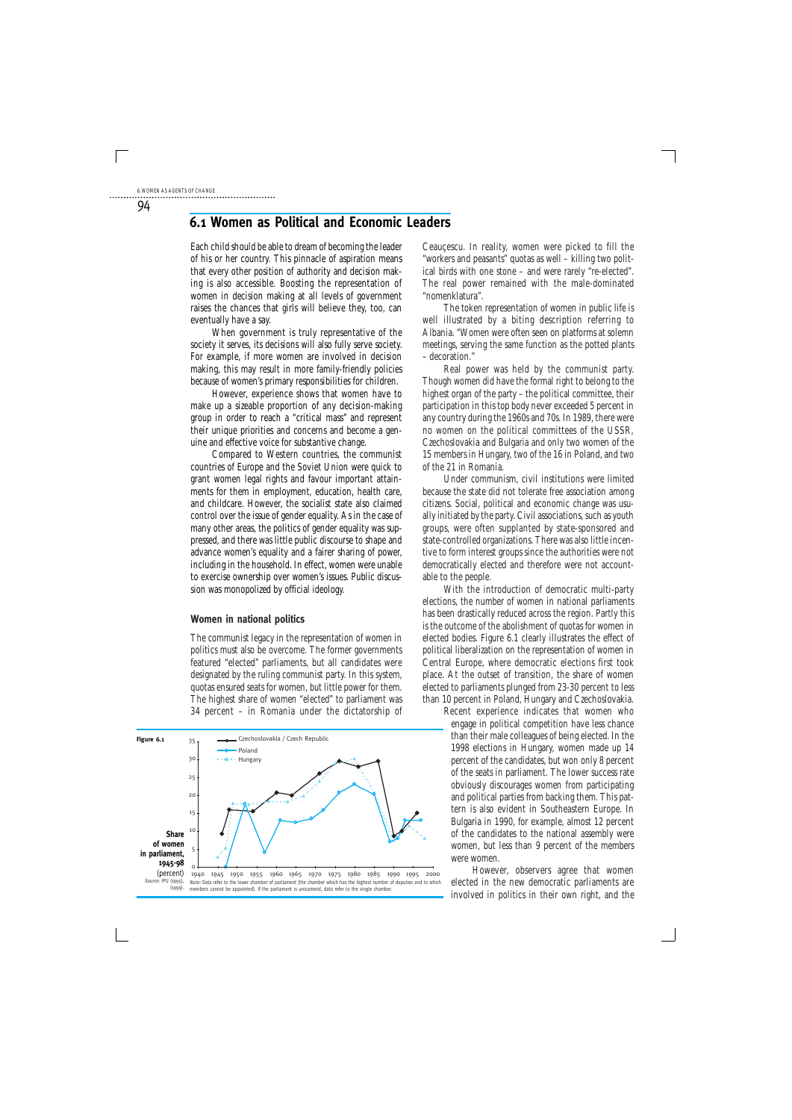# **6.1 Women as Political and Economic Leaders**

Each child should be able to dream of becoming the leader of his or her country. This pinnacle of aspiration means that every other position of authority and decision making is also accessible. Boosting the representation of women in decision making at all levels of government raises the chances that girls will believe they, too, can eventually have a say.

When government is truly representative of the society it serves, its decisions will also fully serve society. For example, if more women are involved in decision making, this may result in more family-friendly policies because of women's primary responsibilities for children.

However, experience shows that women have to make up a sizeable proportion of any decision-making group in order to reach a "critical mass" and represent their unique priorities and concerns and become a genuine and effective voice for substantive change.

Compared to Western countries, the communist countries of Europe and the Soviet Union were quick to grant women legal rights and favour important attainments for them in employment, education, health care, and childcare. However, the socialist state also claimed control over the issue of gender equality. As in the case of many other areas, the politics of gender equality was suppressed, and there was little public discourse to shape and advance women's equality and a fairer sharing of power, including in the household. In effect, women were unable to exercise ownership over women's issues. Public discussion was monopolized by official ideology.

### **Women in national politics**

The communist legacy in the representation of women in politics must also be overcome. The former governments featured "elected" parliaments, but all candidates were designated by the ruling communist party. In this system, quotas ensured seats for women, but little power for them. The highest share of women "elected" to parliament was 34 percent – in Romania under the dictatorship of



Ceauçescu. In reality, women were picked to fill the "workers and peasants" quotas as well – killing two political birds with one stone – and were rarely "re-elected". The real power remained with the male-dominated "nomenklatura".

The token representation of women in public life is well illustrated by a biting description referring to Albania. "Women were often seen on platforms at solemn meetings, serving the same function as the potted plants – decoration."

Real power was held by the communist party. Though women did have the formal right to belong to the highest organ of the party – the political committee, their participation in this top body never exceeded 5 percent in any country during the 1960s and 70s. In 1989, there were no women on the political committees of the USSR, Czechoslovakia and Bulgaria and only two women of the 15 members in Hungary, two of the 16 in Poland, and two of the 21 in Romania.

Under communism, civil institutions were limited because the state did not tolerate free association among citizens. Social, political and economic change was usually initiated by the party. Civil associations, such as youth groups, were often supplanted by state-sponsored and state-controlled organizations. There was also little incentive to form interest groups since the authorities were not democratically elected and therefore were not accountable to the people.

With the introduction of democratic multi-party elections, the number of women in national parliaments has been drastically reduced across the region. Partly this is the outcome of the abolishment of quotas for women in elected bodies. Figure 6.1 clearly illustrates the effect of political liberalization on the representation of women in Central Europe, where democratic elections first took place. At the outset of transition, the share of women elected to parliaments plunged from 23-30 percent to less than 10 percent in Poland, Hungary and Czechoslovakia.

Recent experience indicates that women who engage in political competition have less chance than their male colleagues of being elected. In the 1998 elections in Hungary, women made up 14 percent of the candidates, but won only 8 percent of the seats in parliament. The lower success rate obviously discourages women from participating and political parties from backing them. This pattern is also evident in Southeastern Europe. In Bulgaria in 1990, for example, almost 12 percent of the candidates to the national assembly were women, but less than 9 percent of the members were women.

However, observers agree that women elected in the new democratic parliaments are involved in politics in their own right, and the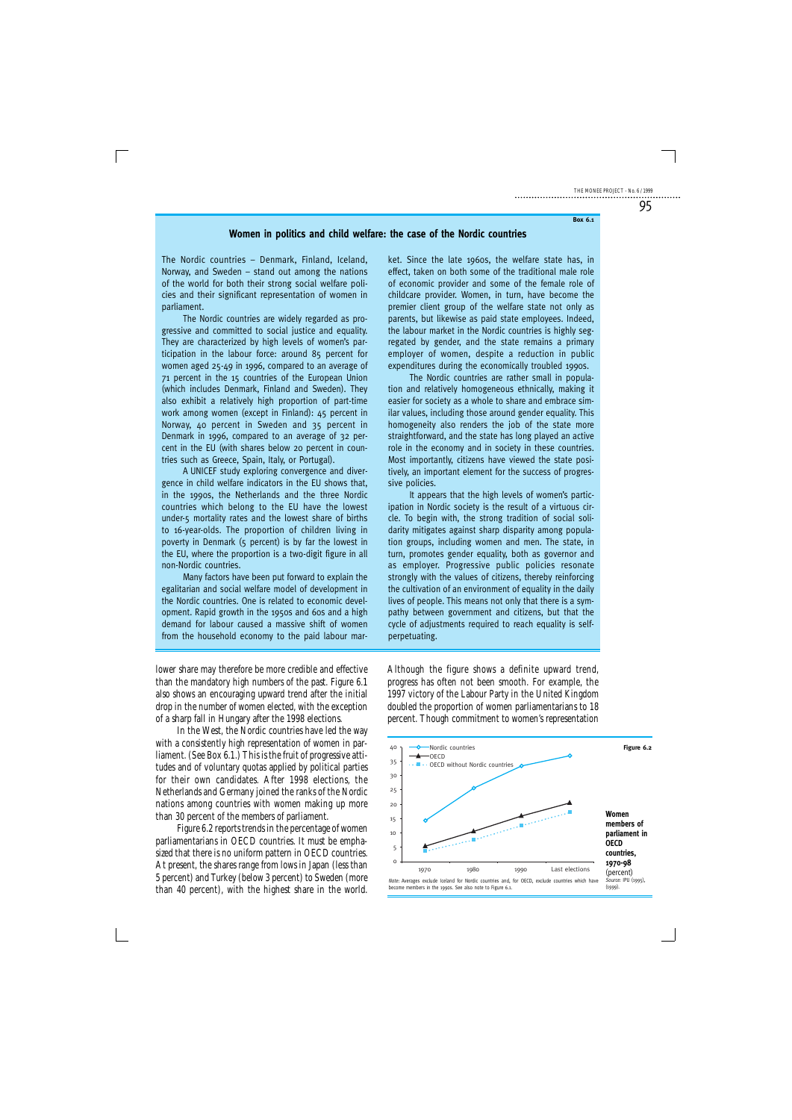### THE MONEE PROJECT - No. 6 / 1999

**Box 6.1**

### **Women in politics and child welfare: the case of the Nordic countries**

The Nordic countries – Denmark, Finland, Iceland, Norway, and Sweden – stand out among the nations of the world for both their strong social welfare policies and their significant representation of women in parliament.

The Nordic countries are widely regarded as progressive and committed to social justice and equality. They are characterized by high levels of women's participation in the labour force: around 85 percent for women aged 25-49 in 1996, compared to an average of 71 percent in the 15 countries of the European Union (which includes Denmark, Finland and Sweden). They also exhibit a relatively high proportion of part-time work among women (except in Finland): 45 percent in Norway, 40 percent in Sweden and 35 percent in Denmark in 1996, compared to an average of 32 percent in the EU (with shares below 20 percent in countries such as Greece, Spain, Italy, or Portugal).

A UNICEF study exploring convergence and divergence in child welfare indicators in the EU shows that, in the 1990s, the Netherlands and the three Nordic countries which belong to the EU have the lowest under-5 mortality rates and the lowest share of births to 16-year-olds. The proportion of children living in poverty in Denmark (5 percent) is by far the lowest in the EU, where the proportion is a two-digit figure in all non-Nordic countries.

Many factors have been put forward to explain the egalitarian and social welfare model of development in the Nordic countries. One is related to economic development. Rapid growth in the 1950s and 60s and a high demand for labour caused a massive shift of women from the household economy to the paid labour market. Since the late 1960s, the welfare state has, in effect, taken on both some of the traditional male role of economic provider and some of the female role of childcare provider. Women, in turn, have become the premier client group of the welfare state not only as parents, but likewise as paid state employees. Indeed, the labour market in the Nordic countries is highly segregated by gender, and the state remains a primary employer of women, despite a reduction in public expenditures during the economically troubled 1990s.

The Nordic countries are rather small in population and relatively homogeneous ethnically, making it easier for society as a whole to share and embrace similar values, including those around gender equality. This homogeneity also renders the job of the state more straightforward, and the state has long played an active role in the economy and in society in these countries. Most importantly, citizens have viewed the state positively, an important element for the success of progressive policies.

It appears that the high levels of women's participation in Nordic society is the result of a virtuous circle. To begin with, the strong tradition of social solidarity mitigates against sharp disparity among population groups, including women and men. The state, in turn, promotes gender equality, both as governor and as employer. Progressive public policies resonate strongly with the values of citizens, thereby reinforcing the cultivation of an environment of equality in the daily lives of people. This means not only that there is a sympathy between government and citizens, but that the cycle of adjustments required to reach equality is selfperpetuating.

lower share may therefore be more credible and effective than the mandatory high numbers of the past. Figure 6.1 also shows an encouraging upward trend after the initial drop in the number of women elected, with the exception of a sharp fall in Hungary after the 1998 elections.

In the West, the Nordic countries have led the way with a consistently high representation of women in parliament. (See Box 6.1.) This is the fruit of progressive attitudes and of voluntary quotas applied by political parties for their own candidates. After 1998 elections, the Netherlands and Germany joined the ranks of the Nordic nations among countries with women making up more than 30 percent of the members of parliament.

Figure 6.2 reports trends in the percentage of women parliamentarians in OECD countries. It must be emphasized that there is no uniform pattern in OECD countries. At present, the shares range from lows in Japan (less than 5 percent) and Turkey (below 3 percent) to Sweden (more than 40 percent), with the highest share in the world.

Although the figure shows a definite upward trend, progress has often not been smooth. For example, the 1997 victory of the Labour Party in the United Kingdom doubled the proportion of women parliamentarians to 18 percent. Though commitment to women's representation

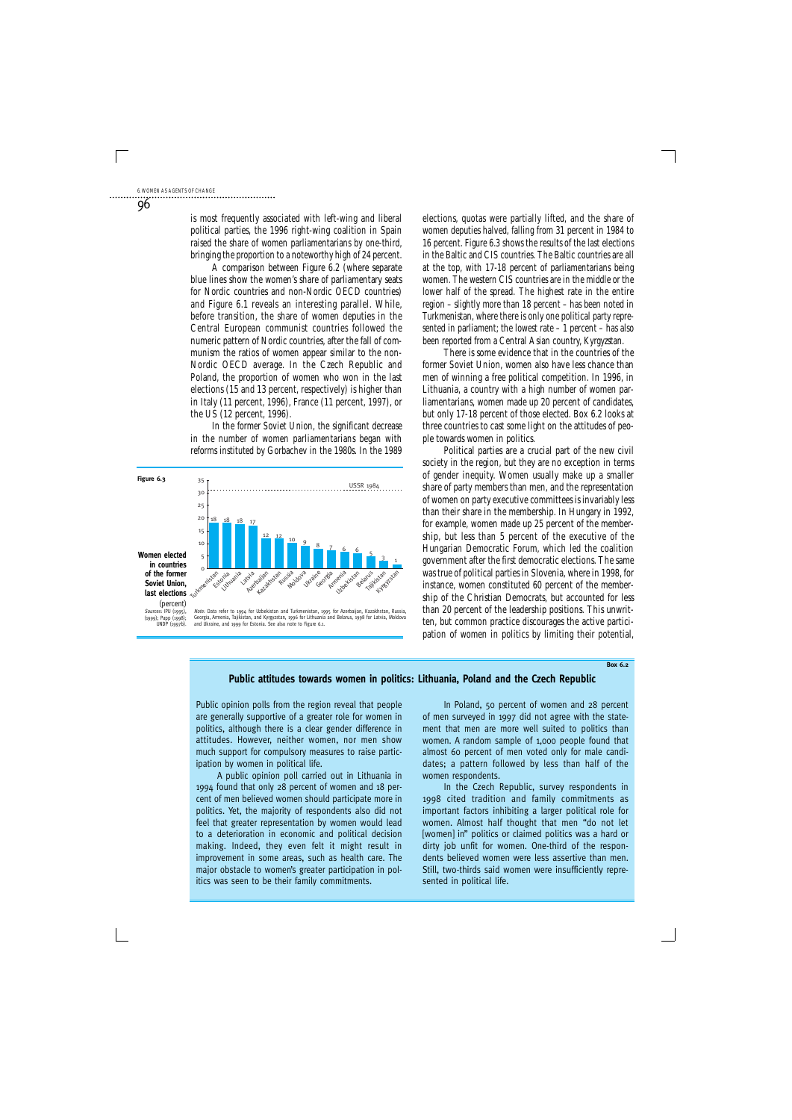is most frequently associated with left-wing and liberal political parties, the 1996 right-wing coalition in Spain raised the share of women parliamentarians by one-third, bringing the proportion to a noteworthy high of 24 percent.

A comparison between Figure 6.2 (where separate blue lines show the women's share of parliamentary seats for Nordic countries and non-Nordic OECD countries) and Figure 6.1 reveals an interesting parallel. While, before transition, the share of women deputies in the Central European communist countries followed the numeric pattern of Nordic countries, after the fall of communism the ratios of women appear similar to the non-Nordic OECD average. In the Czech Republic and Poland, the proportion of women who won in the last elections (15 and 13 percent, respectively) is higher than in Italy (11 percent, 1996), France (11 percent, 1997), or the US (12 percent, 1996).

In the former Soviet Union, the significant decrease in the number of women parliamentarians began with reforms instituted by Gorbachev in the 1980s. In the 1989



elections, quotas were partially lifted, and the share of women deputies halved, falling from 31 percent in 1984 to 16 percent. Figure 6.3 shows the results of the last elections in the Baltic and CIS countries. The Baltic countries are all at the top, with 17-18 percent of parliamentarians being women. The western CIS countries are in the middle or the lower half of the spread. The highest rate in the entire region – slightly more than 18 percent – has been noted in Turkmenistan, where there is only one political party represented in parliament; the lowest rate – 1 percent – has also been reported from a Central Asian country, Kyrgyzstan.

There is some evidence that in the countries of the former Soviet Union, women also have less chance than men of winning a free political competition. In 1996, in Lithuania, a country with a high number of women parliamentarians, women made up 20 percent of candidates, but only 17-18 percent of those elected. Box 6.2 looks at three countries to cast some light on the attitudes of people towards women in politics.

Political parties are a crucial part of the new civil society in the region, but they are no exception in terms of gender inequity. Women usually make up a smaller share of party members than men, and the representation of women on party executive committees is invariably less than their share in the membership. In Hungary in 1992, for example, women made up 25 percent of the membership, but less than 5 percent of the executive of the Hungarian Democratic Forum, which led the coalition government after the first democratic elections. The same was true of political parties in Slovenia, where in 1998, for instance, women constituted 60 percent of the membership of the Christian Democrats, but accounted for less than 20 percent of the leadership positions. This unwritten, but common practice discourages the active participation of women in politics by limiting their potential,

#### **Box 6.2**

### **Public attitudes towards women in politics: Lithuania, Poland and the Czech Republic**

Public opinion polls from the region reveal that people are generally supportive of a greater role for women in politics, although there is a clear gender difference in attitudes. However, neither women, nor men show much support for compulsory measures to raise participation by women in political life.

A public opinion poll carried out in Lithuania in 1994 found that only 28 percent of women and 18 percent of men believed women should participate more in politics. Yet, the majority of respondents also did not feel that greater representation by women would lead to a deterioration in economic and political decision making. Indeed, they even felt it might result in improvement in some areas, such as health care. The major obstacle to women's greater participation in politics was seen to be their family commitments.

In Poland, 50 percent of women and 28 percent of men surveyed in 1997 did not agree with the statement that men are more well suited to politics than women. A random sample of 1,000 people found that almost 60 percent of men voted only for male candidates; a pattern followed by less than half of the women respondents.

In the Czech Republic, survey respondents in 1998 cited tradition and family commitments as important factors inhibiting a larger political role for women. Almost half thought that men "do not let [women] in" politics or claimed politics was a hard or dirty job unfit for women. One-third of the respondents believed women were less assertive than men. Still, two-thirds said women were insufficiently represented in political life.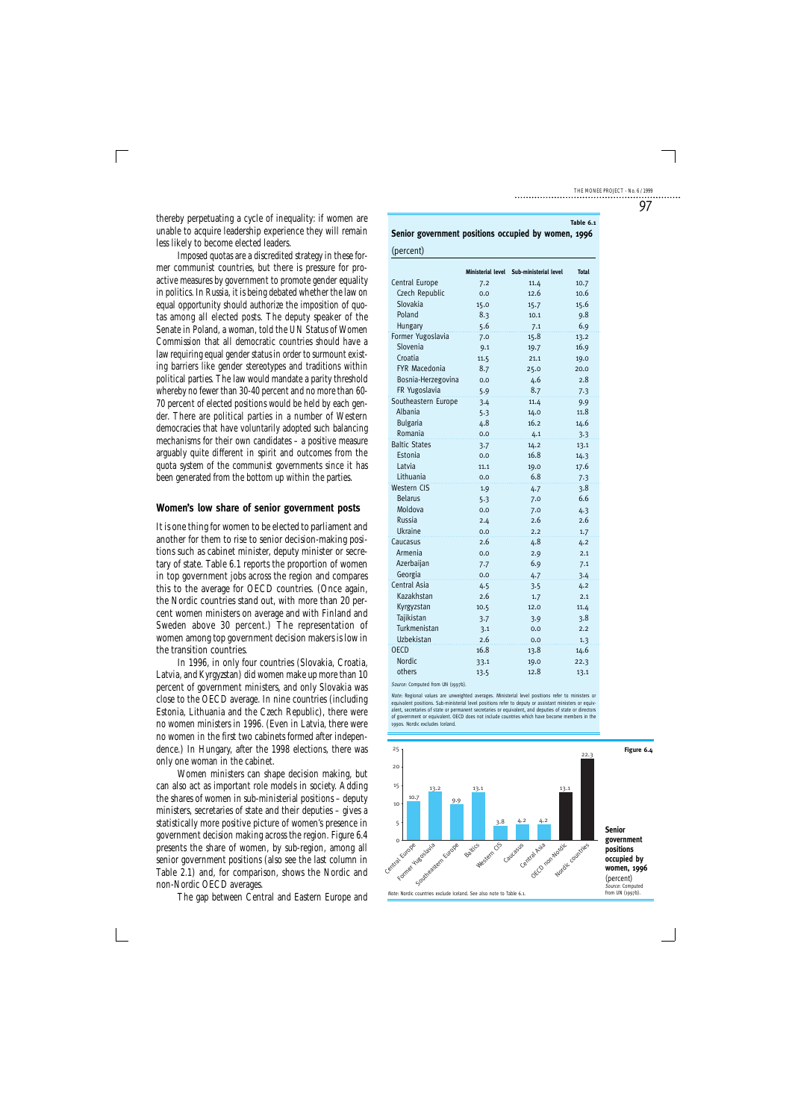**Table 6.1**

thereby perpetuating a cycle of inequality: if women are unable to acquire leadership experience they will remain less likely to become elected leaders.

Imposed quotas are a discredited strategy in these former communist countries, but there is pressure for proactive measures by government to promote gender equality in politics. In Russia, it is being debated whether the law on equal opportunity should authorize the imposition of quotas among all elected posts. The deputy speaker of the Senate in Poland, a woman, told the UN Status of Women Commission that all democratic countries should have a law requiring equal gender status in order to surmount existing barriers like gender stereotypes and traditions within political parties. The law would mandate a parity threshold whereby no fewer than 30-40 percent and no more than 60- 70 percent of elected positions would be held by each gender. There are political parties in a number of Western democracies that have voluntarily adopted such balancing mechanisms for their own candidates – a positive measure arguably quite different in spirit and outcomes from the quota system of the communist governments since it has been generated from the bottom up within the parties.

### **Women's low share of senior government posts**

It is one thing for women to be elected to parliament and another for them to rise to senior decision-making positions such as cabinet minister, deputy minister or secretary of state. Table 6.1 reports the proportion of women in top government jobs across the region and compares this to the average for OECD countries. (Once again, the Nordic countries stand out, with more than 20 percent women ministers on average and with Finland and Sweden above 30 percent.) The representation of women among top government decision makers is low in the transition countries.

In 1996, in only four countries (Slovakia, Croatia, Latvia, and Kyrgyzstan) did women make up more than 10 percent of government ministers, and only Slovakia was close to the OECD average. In nine countries (including Estonia, Lithuania and the Czech Republic), there were no women ministers in 1996. (Even in Latvia, there were no women in the first two cabinets formed after independence.) In Hungary, after the 1998 elections, there was only one woman in the cabinet.

Women ministers can shape decision making, but can also act as important role models in society. Adding the shares of women in sub-ministerial positions – deputy ministers, secretaries of state and their deputies – gives a statistically more positive picture of women's presence in government decision making across the region. Figure 6.4 presents the share of women, by sub-region, among all senior government positions (also see the last column in Table 2.1) and, for comparison, shows the Nordic and non-Nordic OECD averages.

The gap between Central and Eastern Europe and

### **Senior government positions occupied by women, 1996**

| (percent) |  |
|-----------|--|

|                      | <b>Ministerial level</b> | Sub-ministerial level | <b>Total</b> |
|----------------------|--------------------------|-----------------------|--------------|
| Central Europe       | 7.2                      | 11.4                  | 10.7         |
| Czech Republic       | 0.0                      | 12.6                  | 10.6         |
| Slovakia             | 15.0                     | 15.7                  | 15.6         |
| Poland               | 8.3                      | 10.1                  | 9.8          |
| Hungary              | 5.6                      | 7.1                   | 6.9          |
| Former Yugoslavia    | 7.0                      | 15.8                  | 13.2         |
| Slovenia             | 9.1                      | 19.7                  | 16.9         |
| Croatia              | 11.5                     | 21.1                  | 19.0         |
| <b>FYR Macedonia</b> | 8.7                      | 25.0                  | 20.0         |
| Bosnia-Herzegovina   | 0.0                      | 4.6                   | 2.8          |
| FR Yugoslavia        | 5.9                      | 8.7                   | 7.3          |
| Southeastern Europe  | 3.4                      | 11.4                  | 9.9          |
| Albania              | 5.3                      | 14.0                  | 11.8         |
| <b>Bulgaria</b>      | 4.8                      | 16.2                  | 14.6         |
| Romania              | 0.0                      | 4.1                   | 3.3          |
| <b>Baltic States</b> | 3.7                      | 14.2                  | 13.1         |
| Estonia              | 0.0                      | 16.8                  | 14.3         |
| Latvia               | 11.1                     | 19.0                  | 17.6         |
| Lithuania            | 0.0                      | 6.8                   | 7.3          |
| <b>Western CIS</b>   | 1.9                      | 4.7                   | 3.8          |
| <b>Belarus</b>       | 5.3                      | 7.0                   | 6.6          |
| Moldova              | 0.0                      | 7.0                   | 4.3          |
| Russia               | 2.4                      | 2.6                   | 2.6          |
| Ukraine              | 0.0                      | 2.2                   | 1.7          |
| Caucasus             | 2.6                      | 4.8                   | 4.2          |
| Armenia              | 0.0                      | 2.9                   | 2.1          |
| Azerbaijan           | 7.7                      | 6.9                   | 7.1          |
| Georgia              | 0.0                      | 4.7                   | 3.4          |
| Central Asia         | 4.5                      | 3.5                   | 4.2          |
| Kazakhstan           | 2.6                      | 1.7                   | 2.1          |
| Kyrgyzstan           | 10.5                     | 12.0                  | 11.4         |
| Tajikistan           | 3.7                      | 3.9                   | 3.8          |
| Turkmenistan         | 3.1                      | 0.0                   | 2.2          |
| Uzbekistan           | 2.6                      | 0.0                   | 1.3          |
| <b>OECD</b>          | 16.8                     | 13.8                  | 14.6         |
| <b>Nordic</b>        | 33.1                     | 19.0                  | 22.3         |
| others               | 13.5                     | 12.8                  | 13.1         |

Source: Computed from UN (1997b).

Note: Regional values are unweighted averages. Ministerial level positions refer to ministers or equivalent positions. Sub-ministerial level positions refer to deputy or assistant ministers or equivalent, secretaries of state or permanent secretaries or equivalent, and deputies of state or directors of government or equivalent. OECD does not include countries which have become members in the 1990s. Nordic excludes Iceland.

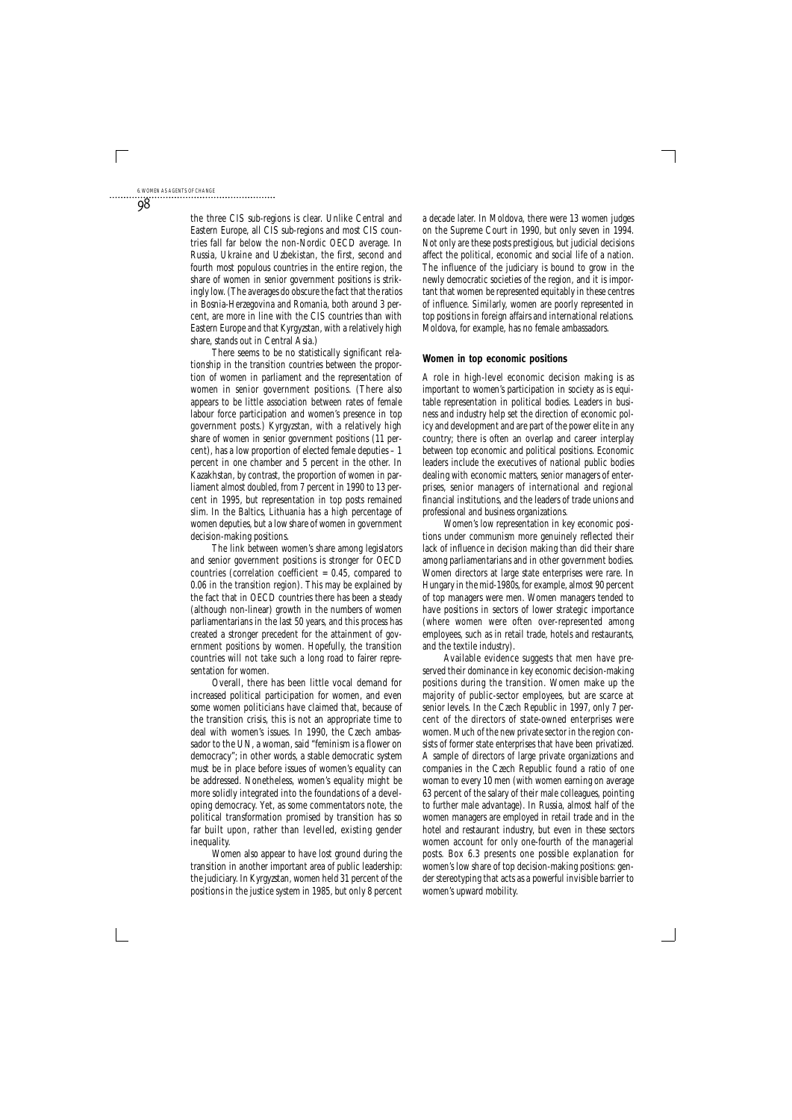the three CIS sub-regions is clear. Unlike Central and Eastern Europe, all CIS sub-regions and most CIS countries fall far below the non-Nordic OECD average. In Russia, Ukraine and Uzbekistan, the first, second and fourth most populous countries in the entire region, the share of women in senior government positions is strikingly low. (The averages do obscure the fact that the ratios in Bosnia-Herzegovina and Romania, both around 3 percent, are more in line with the CIS countries than with Eastern Europe and that Kyrgyzstan, with a relatively high share, stands out in Central Asia.)

There seems to be no statistically significant relationship in the transition countries between the proportion of women in parliament and the representation of women in senior government positions. (There also appears to be little association between rates of female labour force participation and women's presence in top government posts.) Kyrgyzstan, with a relatively high share of women in senior government positions (11 percent), has a low proportion of elected female deputies – 1 percent in one chamber and 5 percent in the other. In Kazakhstan, by contrast, the proportion of women in parliament almost doubled, from 7 percent in 1990 to 13 percent in 1995, but representation in top posts remained slim. In the Baltics, Lithuania has a high percentage of women deputies, but a low share of women in government decision-making positions.

The link between women's share among legislators and senior government positions is stronger for OECD countries (correlation coefficient  $= 0.45$ , compared to 0.06 in the transition region). This may be explained by the fact that in OECD countries there has been a steady (although non-linear) growth in the numbers of women parliamentarians in the last 50 years, and this process has created a stronger precedent for the attainment of government positions by women. Hopefully, the transition countries will not take such a long road to fairer representation for women.

Overall, there has been little vocal demand for increased political participation for women, and even some women politicians have claimed that, because of the transition crisis, this is not an appropriate time to deal with women's issues. In 1990, the Czech ambassador to the UN, a woman, said "feminism is a flower on democracy"; in other words, a stable democratic system must be in place before issues of women's equality can be addressed. Nonetheless, women's equality might be more solidly integrated into the foundations of a developing democracy. Yet, as some commentators note, the political transformation promised by transition has so far built upon, rather than levelled, existing gender inequality.

Women also appear to have lost ground during the transition in another important area of public leadership: the judiciary. In Kyrgyzstan, women held 31 percent of the positions in the justice system in 1985, but only 8 percent a decade later. In Moldova, there were 13 women judges on the Supreme Court in 1990, but only seven in 1994. Not only are these posts prestigious, but judicial decisions affect the political, economic and social life of a nation. The influence of the judiciary is bound to grow in the newly democratic societies of the region, and it is important that women be represented equitably in these centres of influence. Similarly, women are poorly represented in top positions in foreign affairs and international relations. Moldova, for example, has no female ambassadors.

#### **Women in top economic positions**

A role in high-level economic decision making is as important to women's participation in society as is equitable representation in political bodies. Leaders in business and industry help set the direction of economic policy and development and are part of the power elite in any country; there is often an overlap and career interplay between top economic and political positions. Economic leaders include the executives of national public bodies dealing with economic matters, senior managers of enterprises, senior managers of international and regional financial institutions, and the leaders of trade unions and professional and business organizations.

Women's low representation in key economic positions under communism more genuinely reflected their lack of influence in decision making than did their share among parliamentarians and in other government bodies. Women directors at large state enterprises were rare. In Hungary in the mid-1980s, for example, almost 90 percent of top managers were men. Women managers tended to have positions in sectors of lower strategic importance (where women were often over-represented among employees, such as in retail trade, hotels and restaurants, and the textile industry).

Available evidence suggests that men have preserved their dominance in key economic decision-making positions during the transition. Women make up the majority of public-sector employees, but are scarce at senior levels. In the Czech Republic in 1997, only 7 percent of the directors of state-owned enterprises were women. Much of the new private sector in the region consists of former state enterprises that have been privatized. A sample of directors of large private organizations and companies in the Czech Republic found a ratio of one woman to every 10 men (with women earning on average 63 percent of the salary of their male colleagues, pointing to further male advantage). In Russia, almost half of the women managers are employed in retail trade and in the hotel and restaurant industry, but even in these sectors women account for only one-fourth of the managerial posts. Box 6.3 presents one possible explanation for women's low share of top decision-making positions: gender stereotyping that acts as a powerful invisible barrier to women's upward mobility.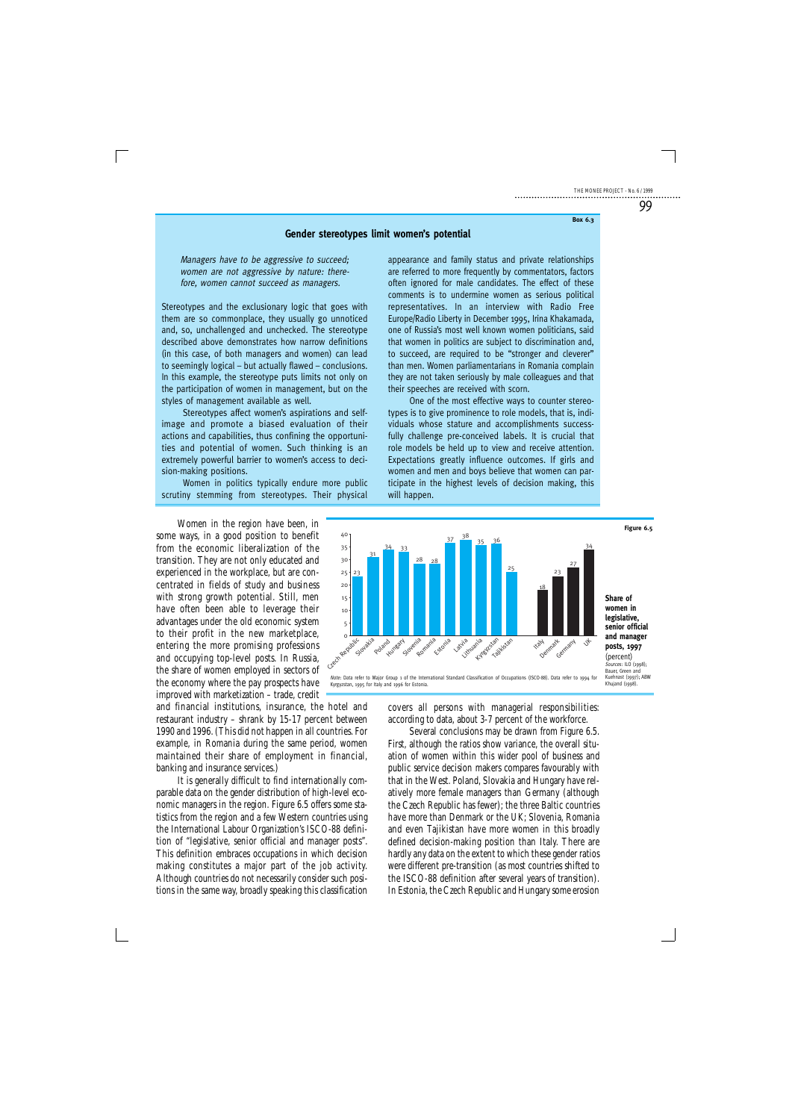**Box 6.3**

### **Gender stereotypes limit women's potential**

Managers have to be aggressive to succeed; women are not aggressive by nature: therefore, women cannot succeed as managers.

Stereotypes and the exclusionary logic that goes with them are so commonplace, they usually go unnoticed and, so, unchallenged and unchecked. The stereotype described above demonstrates how narrow definitions (in this case, of both managers and women) can lead to seemingly logical – but actually flawed – conclusions. In this example, the stereotype puts limits not only on the participation of women in management, but on the styles of management available as well.

Stereotypes affect women's aspirations and selfimage and promote a biased evaluation of their actions and capabilities, thus confining the opportunities and potential of women. Such thinking is an extremely powerful barrier to women's access to decision-making positions.

Women in politics typically endure more public scrutiny stemming from stereotypes. Their physical

Women in the region have been, in some ways, in a good position to benefit from the economic liberalization of the transition. They are not only educated and experienced in the workplace, but are concentrated in fields of study and business with strong growth potential. Still, men have often been able to leverage their advantages under the old economic system to their profit in the new marketplace, entering the more promising professions and occupying top-level posts. In Russia, the share of women employed in sectors of the economy where the pay prospects have improved with marketization – trade, credit

and financial institutions, insurance, the hotel and restaurant industry – shrank by 15-17 percent between 1990 and 1996. (This did not happen in all countries. For example, in Romania during the same period, women maintained their share of employment in financial, banking and insurance services.)

It is generally difficult to find internationally comparable data on the gender distribution of high-level economic managers in the region. Figure 6.5 offers some statistics from the region and a few Western countries using the International Labour Organization's ISCO-88 definition of "legislative, senior official and manager posts". This definition embraces occupations in which decision making constitutes a major part of the job activity. Although countries do not necessarily consider such positions in the same way, broadly speaking this classification appearance and family status and private relationships are referred to more frequently by commentators, factors often ignored for male candidates. The effect of these comments is to undermine women as serious political representatives. In an interview with Radio Free Europe/Radio Liberty in December 1995, Irina Khakamada, one of Russia's most well known women politicians, said that women in politics are subject to discrimination and, to succeed, are required to be "stronger and cleverer" than men. Women parliamentarians in Romania complain they are not taken seriously by male colleagues and that their speeches are received with scorn.

One of the most effective ways to counter stereotypes is to give prominence to role models, that is, individuals whose stature and accomplishments successfully challenge pre-conceived labels. It is crucial that role models be held up to view and receive attention. Expectations greatly influence outcomes. If girls and women and men and boys believe that women can participate in the highest levels of decision making, this will happen.



Khujand (1998). Kyrgyzstan, 1995 for Italy and 1996 for Estonia.

covers all persons with managerial responsibilities: according to data, about 3-7 percent of the workforce.

Several conclusions may be drawn from Figure 6.5. First, although the ratios show variance, the overall situation of women within this wider pool of business and public service decision makers compares favourably with that in the West. Poland, Slovakia and Hungary have relatively more female managers than Germany (although the Czech Republic has fewer); the three Baltic countries have more than Denmark or the UK; Slovenia, Romania and even Tajikistan have more women in this broadly defined decision-making position than Italy. There are hardly any data on the extent to which these gender ratios were different pre-transition (as most countries shifted to the ISCO-88 definition after several years of transition). In Estonia, the Czech Republic and Hungary some erosion **Figure 6.5**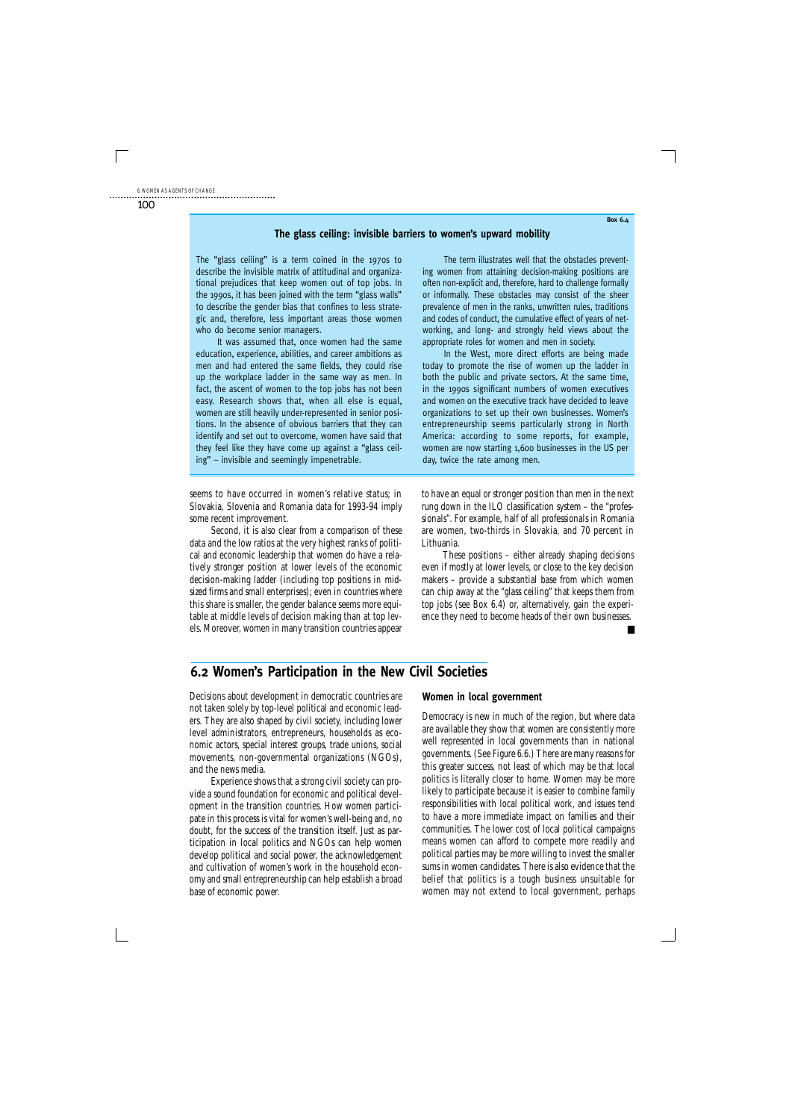### **The glass ceiling: invisible barriers to women's upward mobility**

The "glass ceiling" is a term coined in the 1970s to describe the invisible matrix of attitudinal and organizational prejudices that keep women out of top jobs. In the 1990s, it has been joined with the term "glass walls" to describe the gender bias that confines to less strategic and, therefore, less important areas those women who do become senior managers.

It was assumed that, once women had the same education, experience, abilities, and career ambitions as men and had entered the same fields, they could rise up the workplace ladder in the same way as men. In fact, the ascent of women to the top jobs has not been easy. Research shows that, when all else is equal, women are still heavily under-represented in senior positions. In the absence of obvious barriers that they can identify and set out to overcome, women have said that they feel like they have come up against a "glass ceiling" – invisible and seemingly impenetrable.

seems to have occurred in women's relative status; in Slovakia, Slovenia and Romania data for 1993-94 imply some recent improvement.

Second, it is also clear from a comparison of these data and the low ratios at the very highest ranks of political and economic leadership that women do have a relatively stronger position at lower levels of the economic decision-making ladder (including top positions in midsized firms and small enterprises); even in countries where this share is smaller, the gender balance seems more equitable at middle levels of decision making than at top levels. Moreover, women in many transition countries appear

The term illustrates well that the obstacles preventing women from attaining decision-making positions are often non-explicit and, therefore, hard to challenge formally or informally. These obstacles may consist of the sheer prevalence of men in the ranks, unwritten rules, traditions and codes of conduct, the cumulative effect of years of networking, and long- and strongly held views about the appropriate roles for women and men in society.

In the West, more direct efforts are being made today to promote the rise of women up the ladder in both the public and private sectors. At the same time, in the 1990s significant numbers of women executives and women on the executive track have decided to leave organizations to set up their own businesses. Women's entrepreneurship seems particularly strong in North America: according to some reports, for example, women are now starting 1,600 businesses in the US per day, twice the rate among men.

to have an equal or stronger position than men in the next rung down in the ILO classification system – the "professionals". For example, half of all professionals in Romania are women, two-thirds in Slovakia, and 70 percent in Lithuania.

These positions – either already shaping decisions even if mostly at lower levels, or close to the key decision makers – provide a substantial base from which women can chip away at the "glass ceiling" that keeps them from top jobs (see Box 6.4) or, alternatively, gain the experience they need to become heads of their own businesses.

### **6.2 Women's Participation in the New Civil Societies**

Decisions about development in democratic countries are not taken solely by top-level political and economic leaders. They are also shaped by civil society, including lower level administrators, entrepreneurs, households as economic actors, special interest groups, trade unions, social movements, non-governmental organizations (NGOs), and the news media.

Experience shows that a strong civil society can provide a sound foundation for economic and political development in the transition countries. How women participate in this process is vital for women's well-being and, no doubt, for the success of the transition itself. Just as participation in local politics and NGOs can help women develop political and social power, the acknowledgement and cultivation of women's work in the household economy and small entrepreneurship can help establish a broad base of economic power.

#### **Women in local government**

Democracy is new in much of the region, but where data are available they show that women are consistently more well represented in local governments than in national governments. (See Figure 6.6.) There are many reasons for this greater success, not least of which may be that local politics is literally closer to home. Women may be more likely to participate because it is easier to combine family responsibilities with local political work, and issues tend to have a more immediate impact on families and their communities. The lower cost of local political campaigns means women can afford to compete more readily and political parties may be more willing to invest the smaller sums in women candidates. There is also evidence that the belief that politics is a tough business unsuitable for women may not extend to local government, perhaps

**Box 6.4**

■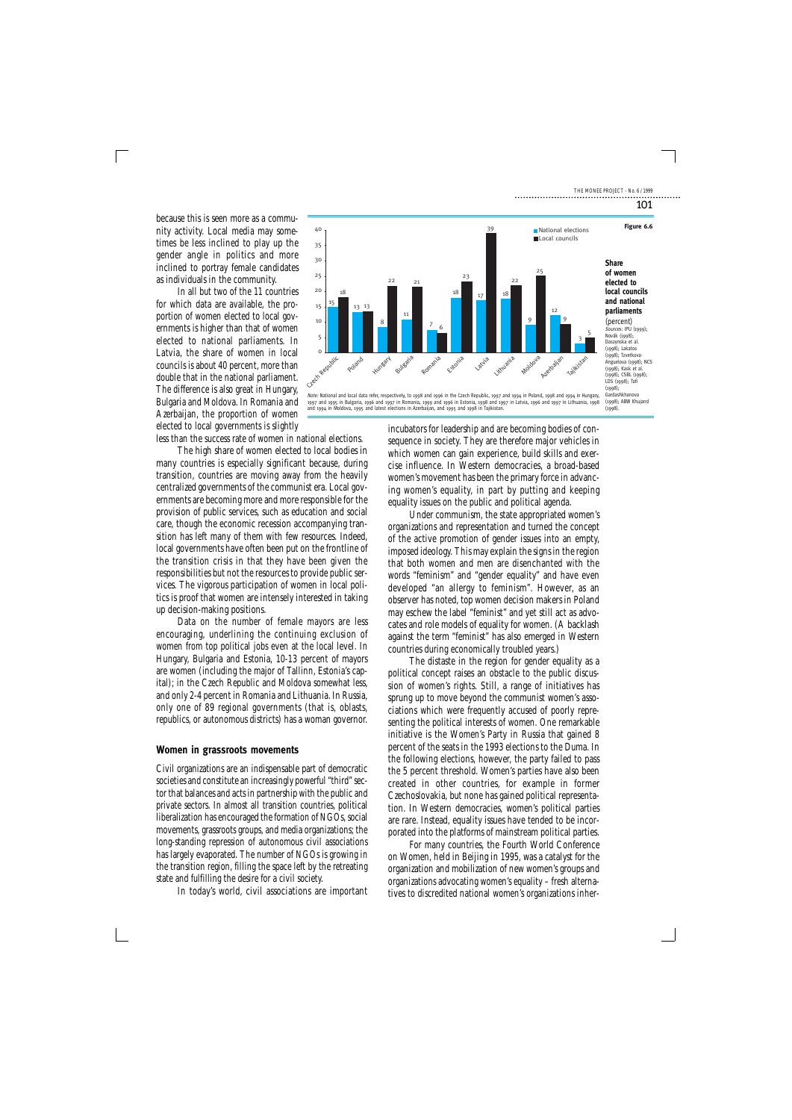# THE MONEE PROJECT - No. 6 / 1999

101

because this is seen more as a community activity. Local media may sometimes be less inclined to play up the gender angle in politics and more inclined to portray female candidates as individuals in the community.

In all but two of the 11 countries for which data are available, the proportion of women elected to local governments is higher than that of women elected to national parliaments. In Latvia, the share of women in local councils is about 40 percent, more than double that in the national parliament. The difference is also great in Hungary, Bulgaria and Moldova. In Romania and Azerbaijan, the proportion of women elected to local governments is slightly less than the success rate of women in national elections.

The high share of women elected to local bodies in many countries is especially significant because, during transition, countries are moving away from the heavily centralized governments of the communist era. Local governments are becoming more and more responsible for the provision of public services, such as education and social care, though the economic recession accompanying transition has left many of them with few resources. Indeed, local governments have often been put on the frontline of the transition crisis in that they have been given the responsibilities but not the resources to provide public services. The vigorous participation of women in local politics is proof that women are intensely interested in taking up decision-making positions.

Data on the number of female mayors are less encouraging, underlining the continuing exclusion of women from top political jobs even at the local level. In Hungary, Bulgaria and Estonia, 10-13 percent of mayors are women (including the major of Tallinn, Estonia's capital); in the Czech Republic and Moldova somewhat less, and only 2-4 percent in Romania and Lithuania. In Russia, only one of 89 regional governments (that is, oblasts, republics, or autonomous districts) has a woman governor.

### **Women in grassroots movements**

Civil organizations are an indispensable part of democratic societies and constitute an increasingly powerful "third" sector that balances and acts in partnership with the public and private sectors. In almost all transition countries, political liberalization has encouraged the formation of NGOs, social movements, grassroots groups, and media organizations; the long-standing repression of autonomous civil associations has largely evaporated. The number of NGOs is growing in the transition region, filling the space left by the retreating state and fulfilling the desire for a civil society.

In today's world, civil associations are important



(1998); ABW Khujand (1998). Note: National and local data refer, respectively, to 1998 and 1996 in the Czech Republic, 1997 and 1994 in Poland, 1998 and 1994 in Hungary, 1997 and 1995 in Bulgaria, 1996 and 1997 in Romania, 1999 and 1996 in Estonia, 1998 and 1997 in Latvia, 1996 and 1997 in Lithuania, 1998 and 1994 in Moldova, 1995 and latest elections in Azerbaijan, and 1995 and 1998 in Tajikistan.

> incubators for leadership and are becoming bodies of consequence in society. They are therefore major vehicles in which women can gain experience, build skills and exercise influence. In Western democracies, a broad-based women's movement has been the primary force in advancing women's equality, in part by putting and keeping equality issues on the public and political agenda.

> Under communism, the state appropriated women's organizations and representation and turned the concept of the active promotion of gender issues into an empty, imposed ideology. This may explain the signs in the region that both women and men are disenchanted with the words "feminism" and "gender equality" and have even developed "an allergy to feminism". However, as an observer has noted, top women decision makers in Poland may eschew the label "feminist" and yet still act as advocates and role models of equality for women. (A backlash against the term "feminist" has also emerged in Western countries during economically troubled years.)

> The distaste in the region for gender equality as a political concept raises an obstacle to the public discussion of women's rights. Still, a range of initiatives has sprung up to move beyond the communist women's associations which were frequently accused of poorly representing the political interests of women. One remarkable initiative is the Women's Party in Russia that gained 8 percent of the seats in the 1993 elections to the Duma. In the following elections, however, the party failed to pass the 5 percent threshold. Women's parties have also been created in other countries, for example in former Czechoslovakia, but none has gained political representation. In Western democracies, women's political parties are rare. Instead, equality issues have tended to be incorporated into the platforms of mainstream political parties.

> For many countries, the Fourth World Conference on Women, held in Beijing in 1995, was a catalyst for the organization and mobilization of new women's groups and organizations advocating women's equality – fresh alternatives to discredited national women's organizations inher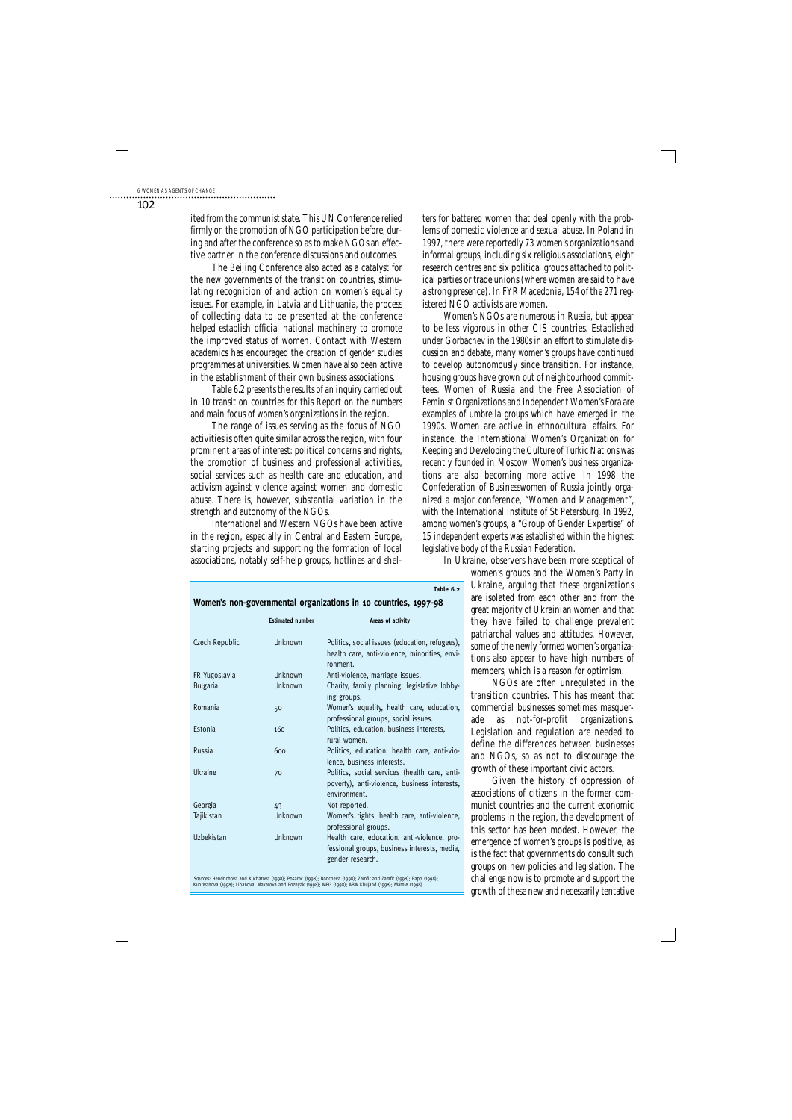ited from the communist state. This UN Conference relied firmly on the promotion of NGO participation before, during and after the conference so as to make NGOs an effective partner in the conference discussions and outcomes.

The Beijing Conference also acted as a catalyst for the new governments of the transition countries, stimulating recognition of and action on women's equality issues. For example, in Latvia and Lithuania, the process of collecting data to be presented at the conference helped establish official national machinery to promote the improved status of women. Contact with Western academics has encouraged the creation of gender studies programmes at universities. Women have also been active in the establishment of their own business associations.

Table 6.2 presents the results of an inquiry carried out in 10 transition countries for this Report on the numbers and main focus of women's organizations in the region.

The range of issues serving as the focus of NGO activities is often quite similar across the region, with four prominent areas of interest: political concerns and rights, the promotion of business and professional activities, social services such as health care and education, and activism against violence against women and domestic abuse. There is, however, substantial variation in the strength and autonomy of the NGOs.

International and Western NGOs have been active in the region, especially in Central and Eastern Europe, starting projects and supporting the formation of local associations, notably self-help groups, hotlines and shel-

**Table 6.2 Women's non-governmental organizations in 10 countries, 1997-98 Estimated number Areas of activity** Czech Republic Unknown Politics, social issues (education, refugees), health care, anti-violence, minorities, environment. FR Yugoslavia **Unknown** Anti-violence, marriage issues. Bulgaria Unknown Charity, family planning, legislative lobbying groups. Romania 50 Women's equality, health care, education, professional groups, social issues. Estonia 160 160 Politics, education, business interests, rural women. Russia 600 600 Politics, education, health care, anti-violence, business interests. Ukraine 70 70 Politics, social services (health care, antipoverty), anti-violence, business interests, environment. Georgia 43 Not reported. Tajikistan Unknown Women's rights, health care, anti-violence, professional groups. Uzbekistan Unknown Health care, education, anti-violence, professional groups, business interests, media, gender research.

*Sources:* Hendrichova and Kucharova (1998); Posarac (1998); Noncheva (1998); Zamfir and Zamfir (1998); Papp (1998);<br>Kupriyanova (1998); Libanova, Makarova and Poznyak (1998); MEG (1998); ABW Khujand (1998); Marnie (1998).

ters for battered women that deal openly with the problems of domestic violence and sexual abuse. In Poland in 1997, there were reportedly 73 women's organizations and informal groups, including six religious associations, eight research centres and six political groups attached to political parties or trade unions (where women are said to have a strong presence). In FYR Macedonia, 154 of the 271 registered NGO activists are women.

Women's NGOs are numerous in Russia, but appear to be less vigorous in other CIS countries. Established under Gorbachev in the 1980s in an effort to stimulate discussion and debate, many women's groups have continued to develop autonomously since transition. For instance, housing groups have grown out of neighbourhood committees. Women of Russia and the Free Association of Feminist Organizations and Independent Women's Fora are examples of umbrella groups which have emerged in the 1990s. Women are active in ethnocultural affairs. For instance, the International Women's Organization for Keeping and Developing the Culture of Turkic Nations was recently founded in Moscow. Women's business organizations are also becoming more active. In 1998 the Confederation of Businesswomen of Russia jointly organized a major conference, "Women and Management", with the International Institute of St Petersburg. In 1992, among women's groups, a "Group of Gender Expertise" of 15 independent experts was established within the highest legislative body of the Russian Federation.

In Ukraine, observers have been more sceptical of

women's groups and the Women's Party in Ukraine, arguing that these organizations are isolated from each other and from the great majority of Ukrainian women and that they have failed to challenge prevalent patriarchal values and attitudes. However, some of the newly formed women's organizations also appear to have high numbers of members, which is a reason for optimism.

NGOs are often unregulated in the transition countries. This has meant that commercial businesses sometimes masquerade as not-for-profit organizations. Legislation and regulation are needed to define the differences between businesses and NGOs, so as not to discourage the growth of these important civic actors.

Given the history of oppression of associations of citizens in the former communist countries and the current economic problems in the region, the development of this sector has been modest. However, the emergence of women's groups is positive, as is the fact that governments do consult such groups on new policies and legislation. The challenge now is to promote and support the growth of these new and necessarily tentative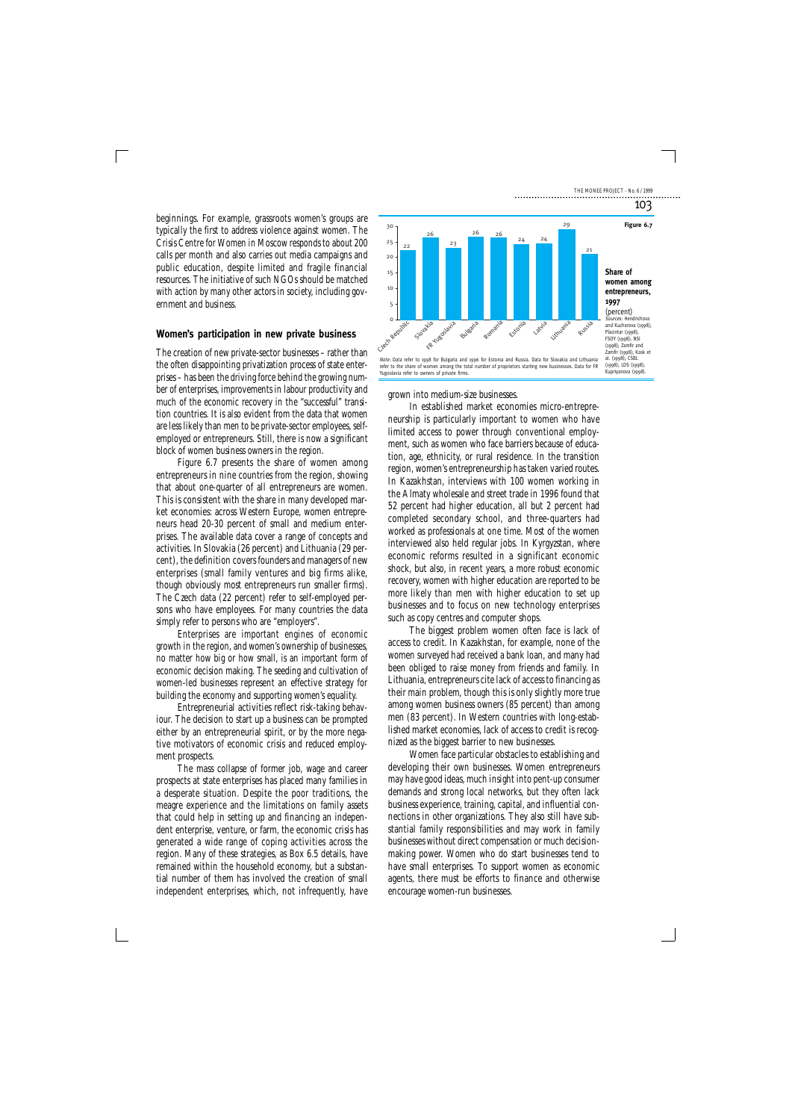beginnings. For example, grassroots women's groups are typically the first to address violence against women. The Crisis Centre for Women in Moscow responds to about 200 calls per month and also carries out media campaigns and public education, despite limited and fragile financial resources. The initiative of such NGOs should be matched with action by many other actors in society, including government and business.

### **Women's participation in new private business**

The creation of new private-sector businesses – rather than the often disappointing privatization process of state enterprises – has been the driving force behind the growing number of enterprises, improvements in labour productivity and much of the economic recovery in the "successful" transition countries. It is also evident from the data that women are less likely than men to be private-sector employees, selfemployed or entrepreneurs. Still, there is now a significant block of women business owners in the region.

Figure 6.7 presents the share of women among entrepreneurs in nine countries from the region, showing that about one-quarter of all entrepreneurs are women. This is consistent with the share in many developed market economies: across Western Europe, women entrepreneurs head 20-30 percent of small and medium enterprises. The available data cover a range of concepts and activities. In Slovakia (26 percent) and Lithuania (29 percent), the definition covers founders and managers of new enterprises (small family ventures and big firms alike, though obviously most entrepreneurs run smaller firms). The Czech data (22 percent) refer to self-employed persons who have employees. For many countries the data simply refer to persons who are "employers".

Enterprises are important engines of economic growth in the region, and women's ownership of businesses, no matter how big or how small, is an important form of economic decision making. The seeding and cultivation of women-led businesses represent an effective strategy for building the economy and supporting women's equality.

Entrepreneurial activities reflect risk-taking behaviour. The decision to start up a business can be prompted either by an entrepreneurial spirit, or by the more negative motivators of economic crisis and reduced employment prospects.

The mass collapse of former job, wage and career prospects at state enterprises has placed many families in a desperate situation. Despite the poor traditions, the meagre experience and the limitations on family assets that could help in setting up and financing an independent enterprise, venture, or farm, the economic crisis has generated a wide range of coping activities across the region. Many of these strategies, as Box 6.5 details, have remained within the household economy, but a substantial number of them has involved the creation of small independent enterprises, which, not infrequently, have



grown into medium-size businesses.

In established market economies micro-entrepreneurship is particularly important to women who have limited access to power through conventional employment, such as women who face barriers because of education, age, ethnicity, or rural residence. In the transition region, women's entrepreneurship has taken varied routes. In Kazakhstan, interviews with 100 women working in the Almaty wholesale and street trade in 1996 found that 52 percent had higher education, all but 2 percent had completed secondary school, and three-quarters had worked as professionals at one time. Most of the women interviewed also held regular jobs. In Kyrgyzstan, where economic reforms resulted in a significant economic shock, but also, in recent years, a more robust economic recovery, women with higher education are reported to be more likely than men with higher education to set up businesses and to focus on new technology enterprises such as copy centres and computer shops.

The biggest problem women often face is lack of access to credit. In Kazakhstan, for example, none of the women surveyed had received a bank loan, and many had been obliged to raise money from friends and family. In Lithuania, entrepreneurs cite lack of access to financing as their main problem, though this is only slightly more true among women business owners (85 percent) than among men (83 percent). In Western countries with long-established market economies, lack of access to credit is recognized as the biggest barrier to new businesses.

Women face particular obstacles to establishing and developing their own businesses. Women entrepreneurs may have good ideas, much insight into pent-up consumer demands and strong local networks, but they often lack business experience, training, capital, and influential connections in other organizations. They also still have substantial family responsibilities and may work in family businesses without direct compensation or much decisionmaking power. Women who do start businesses tend to have small enterprises. To support women as economic agents, there must be efforts to finance and otherwise encourage women-run businesses.

103

THE MONEE PROJECT - No. 6 / 1999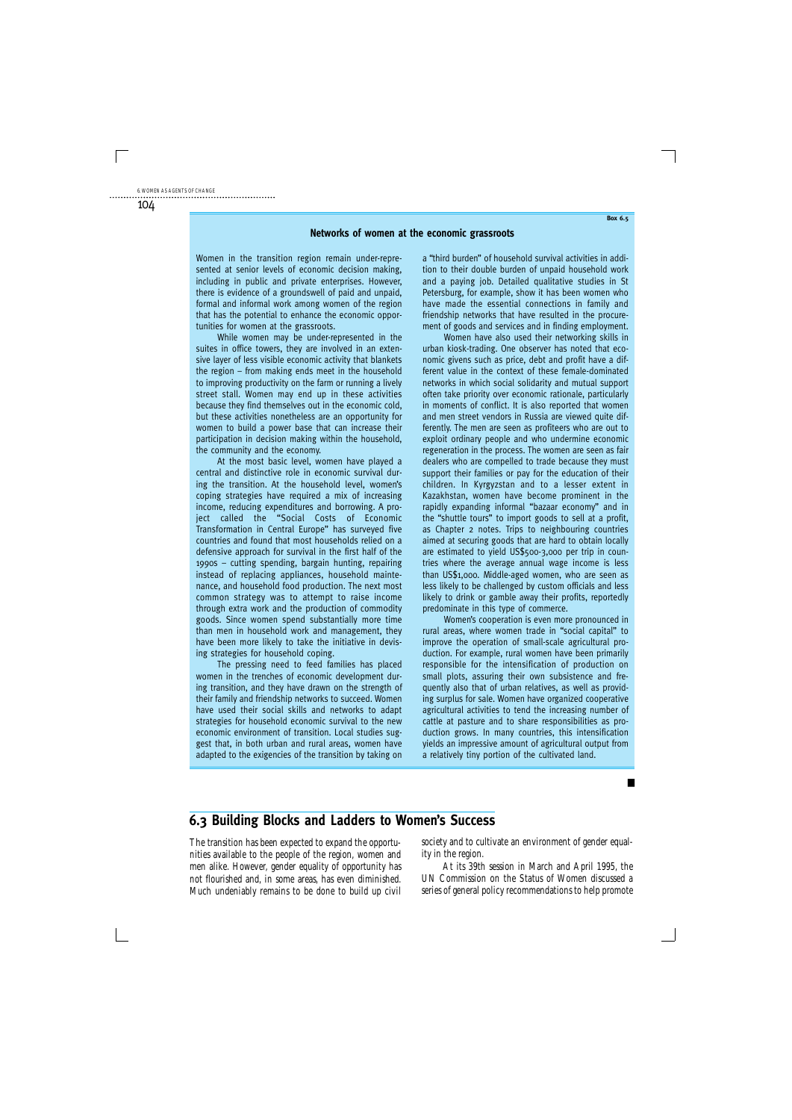#### **Networks of women at the economic grassroots**

Women in the transition region remain under-represented at senior levels of economic decision making, including in public and private enterprises. However, there is evidence of a groundswell of paid and unpaid, formal and informal work among women of the region that has the potential to enhance the economic opportunities for women at the grassroots.

While women may be under-represented in the suites in office towers, they are involved in an extensive layer of less visible economic activity that blankets the region – from making ends meet in the household to improving productivity on the farm or running a lively street stall. Women may end up in these activities because they find themselves out in the economic cold, but these activities nonetheless are an opportunity for women to build a power base that can increase their participation in decision making within the household, the community and the economy.

At the most basic level, women have played a central and distinctive role in economic survival during the transition. At the household level, women's coping strategies have required a mix of increasing income, reducing expenditures and borrowing. A project called the "Social Costs of Economic Transformation in Central Europe" has surveyed five countries and found that most households relied on a defensive approach for survival in the first half of the 1990s – cutting spending, bargain hunting, repairing instead of replacing appliances, household maintenance, and household food production. The next most common strategy was to attempt to raise income through extra work and the production of commodity goods. Since women spend substantially more time than men in household work and management, they have been more likely to take the initiative in devising strategies for household coping.

The pressing need to feed families has placed women in the trenches of economic development during transition, and they have drawn on the strength of their family and friendship networks to succeed. Women have used their social skills and networks to adapt strategies for household economic survival to the new economic environment of transition. Local studies suggest that, in both urban and rural areas, women have adapted to the exigencies of the transition by taking on

a "third burden" of household survival activities in addition to their double burden of unpaid household work and a paying job. Detailed qualitative studies in St Petersburg, for example, show it has been women who have made the essential connections in family and friendship networks that have resulted in the procurement of goods and services and in finding employment.

Women have also used their networking skills in urban kiosk-trading. One observer has noted that economic givens such as price, debt and profit have a different value in the context of these female-dominated networks in which social solidarity and mutual support often take priority over economic rationale, particularly in moments of conflict. It is also reported that women and men street vendors in Russia are viewed quite differently. The men are seen as profiteers who are out to exploit ordinary people and who undermine economic regeneration in the process. The women are seen as fair dealers who are compelled to trade because they must support their families or pay for the education of their children. In Kyrgyzstan and to a lesser extent in Kazakhstan, women have become prominent in the rapidly expanding informal "bazaar economy" and in the "shuttle tours" to import goods to sell at a profit, as Chapter 2 notes. Trips to neighbouring countries aimed at securing goods that are hard to obtain locally are estimated to yield US\$500-3,000 per trip in countries where the average annual wage income is less than US\$1,000. Middle-aged women, who are seen as less likely to be challenged by custom officials and less likely to drink or gamble away their profits, reportedly predominate in this type of commerce.

Women's cooperation is even more pronounced in rural areas, where women trade in "social capital" to improve the operation of small-scale agricultural production. For example, rural women have been primarily responsible for the intensification of production on small plots, assuring their own subsistence and frequently also that of urban relatives, as well as providing surplus for sale. Women have organized cooperative agricultural activities to tend the increasing number of cattle at pasture and to share responsibilities as production grows. In many countries, this intensification yields an impressive amount of agricultural output from a relatively tiny portion of the cultivated land.

## **6.3 Building Blocks and Ladders to Women's Success**

The transition has been expected to expand the opportunities available to the people of the region, women and men alike. However, gender equality of opportunity has not flourished and, in some areas, has even diminished. Much undeniably remains to be done to build up civil society and to cultivate an environment of gender equality in the region.

At its 39th session in March and April 1995, the UN Commission on the Status of Women discussed a series of general policy recommendations to help promote

■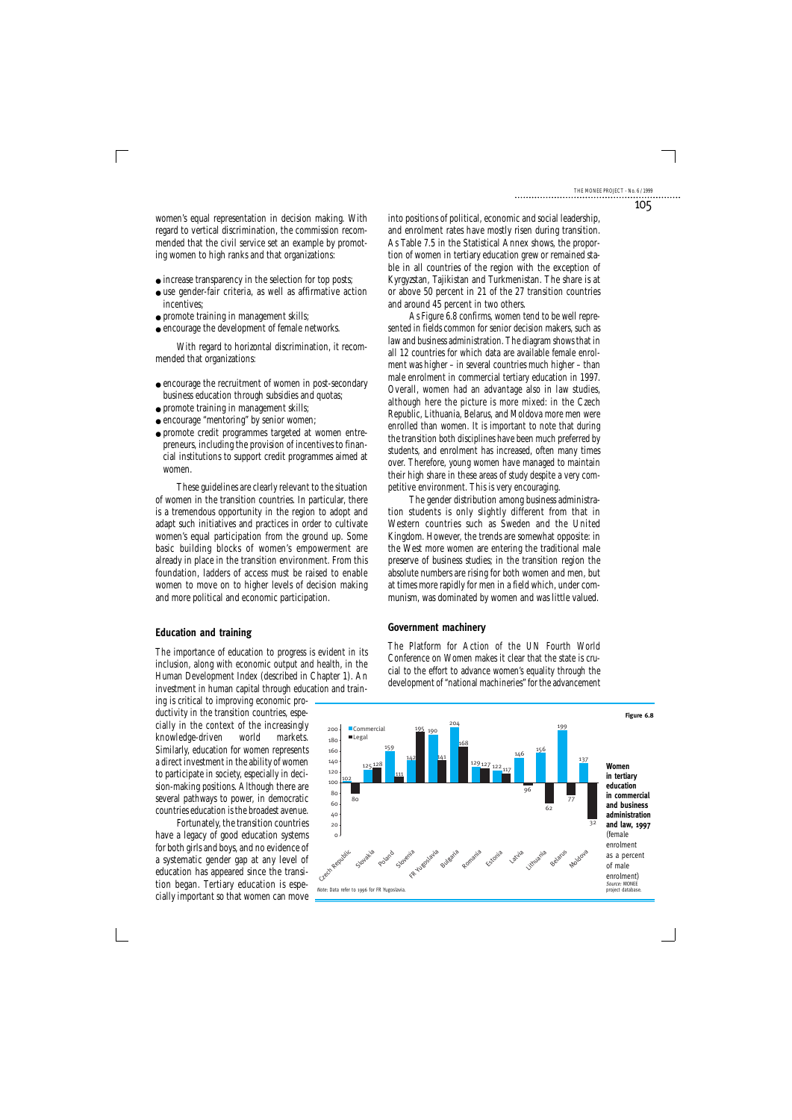women's equal representation in decision making. With regard to vertical discrimination, the commission recommended that the civil service set an example by promoting women to high ranks and that organizations:

- increase transparency in the selection for top posts;
- use gender-fair criteria, as well as affirmative action incentives;
- promote training in management skills;
- encourage the development of female networks.

With regard to horizontal discrimination, it recommended that organizations:

- encourage the recruitment of women in post-secondary business education through subsidies and quotas;
- promote training in management skills;
- encourage "mentoring" by senior women;
- promote credit programmes targeted at women entrepreneurs, including the provision of incentives to financial institutions to support credit programmes aimed at women.

These guidelines are clearly relevant to the situation of women in the transition countries. In particular, there is a tremendous opportunity in the region to adopt and adapt such initiatives and practices in order to cultivate women's equal participation from the ground up. Some basic building blocks of women's empowerment are already in place in the transition environment. From this foundation, ladders of access must be raised to enable women to move on to higher levels of decision making and more political and economic participation.

into positions of political, economic and social leadership, and enrolment rates have mostly risen during transition. As Table 7.5 in the Statistical Annex shows, the proportion of women in tertiary education grew or remained stable in all countries of the region with the exception of Kyrgyzstan, Tajikistan and Turkmenistan. The share is at or above 50 percent in 21 of the 27 transition countries and around 45 percent in two others.

As Figure 6.8 confirms, women tend to be well represented in fields common for senior decision makers, such as law and business administration. The diagram shows that in all 12 countries for which data are available female enrolment was higher – in several countries much higher – than male enrolment in commercial tertiary education in 1997. Overall, women had an advantage also in law studies, although here the picture is more mixed: in the Czech Republic, Lithuania, Belarus, and Moldova more men were enrolled than women. It is important to note that during the transition both disciplines have been much preferred by students, and enrolment has increased, often many times over. Therefore, young women have managed to maintain their high share in these areas of study despite a very competitive environment. This is very encouraging.

The gender distribution among business administration students is only slightly different from that in Western countries such as Sweden and the United Kingdom. However, the trends are somewhat opposite: in the West more women are entering the traditional male preserve of business studies; in the transition region the absolute numbers are rising for both women and men, but at times more rapidly for men in a field which, under communism, was dominated by women and was little valued.

### **Government machinery**

The importance of education to progress is evident in its inclusion, along with economic output and health, in the Human Development Index (described in Chapter 1). An investment in human capital through education and train-

ing is critical to improving economic productivity in the transition countries, especially in the context of the increasingly knowledge-driven world markets. Similarly, education for women represents a direct investment in the ability of women to participate in society, especially in decision-making positions. Although there are several pathways to power, in democratic countries education is the broadest avenue.

**Education and training**

Fortunately, the transition countries have a legacy of good education systems for both girls and boys, and no evidence of a systematic gender gap at any level of education has appeared since the transition began. Tertiary education is especially important so that women can move

The Platform for Action of the UN Fourth World Conference on Women makes it clear that the state is crucial to the effort to advance women's equality through the development of "national machineries" for the advancement

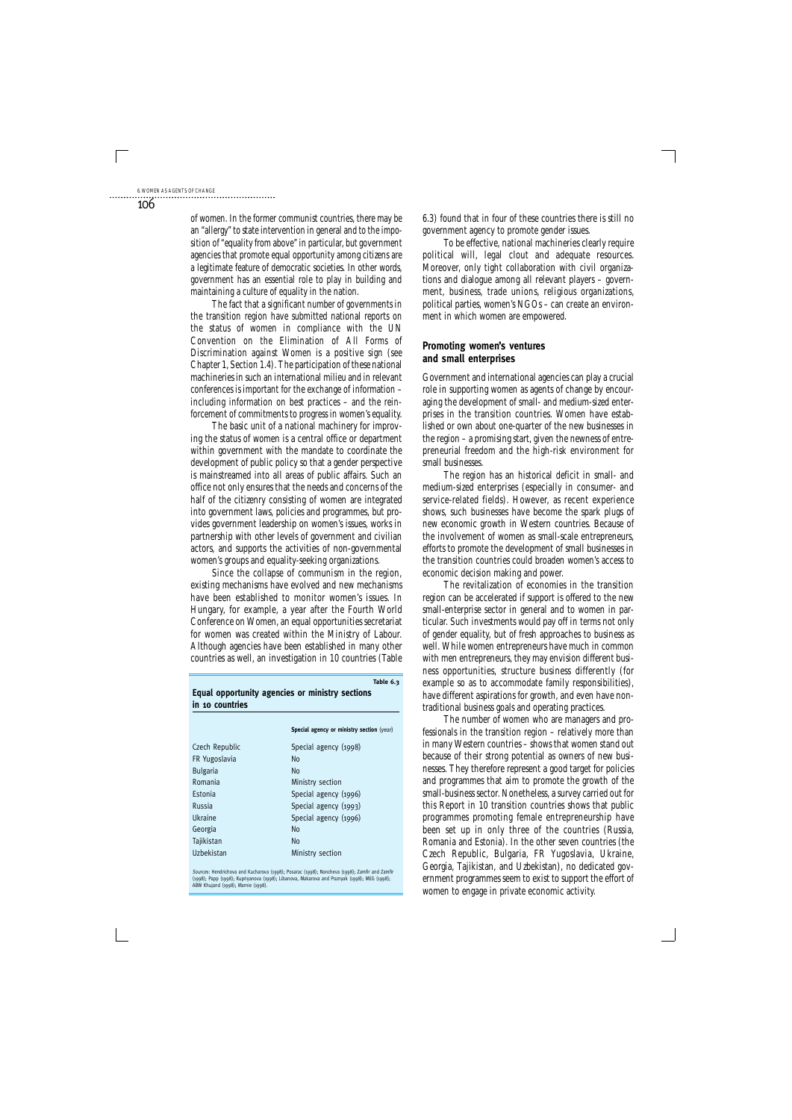of women. In the former communist countries, there may be an "allergy" to state intervention in general and to the imposition of "equality from above" in particular, but government agencies that promote equal opportunity among citizens are a legitimate feature of democratic societies. In other words, government has an essential role to play in building and maintaining a culture of equality in the nation.

The fact that a significant number of governments in the transition region have submitted national reports on the status of women in compliance with the UN Convention on the Elimination of All Forms of Discrimination against Women is a positive sign (see Chapter 1, Section 1.4). The participation of these national machineries in such an international milieu and in relevant conferences is important for the exchange of information – including information on best practices – and the reinforcement of commitments to progress in women's equality.

The basic unit of a national machinery for improving the status of women is a central office or department within government with the mandate to coordinate the development of public policy so that a gender perspective is mainstreamed into all areas of public affairs. Such an office not only ensures that the needs and concerns of the half of the citizenry consisting of women are integrated into government laws, policies and programmes, but provides government leadership on women's issues, works in partnership with other levels of government and civilian actors, and supports the activities of non-governmental women's groups and equality-seeking organizations.

Since the collapse of communism in the region, existing mechanisms have evolved and new mechanisms have been established to monitor women's issues. In Hungary, for example, a year after the Fourth World Conference on Women, an equal opportunities secretariat for women was created within the Ministry of Labour. Although agencies have been established in many other countries as well, an investigation in 10 countries (Table

|                                                 |  | Table 6.3 |
|-------------------------------------------------|--|-----------|
| Equal opportunity agencies or ministry sections |  |           |
| in 10 countries                                 |  |           |

|                 | Special agency or ministry section (year) |
|-----------------|-------------------------------------------|
| Czech Republic  | Special agency (1998)                     |
| FR Yugoslavia   | No                                        |
| <b>Bulgaria</b> | No                                        |
| Romania         | Ministry section                          |
| Estonia         | Special agency (1996)                     |
| Russia          | Special agency (1993)                     |
| <b>Ukraine</b>  | Special agency (1996)                     |
| Georgia         | No                                        |
| Tajikistan      | N <sub>o</sub>                            |
| Uzbekistan      | Ministry section                          |

Sources: Hendrichova and Kucharova (1998); Posarac (1998); Noncheva (1998); Zamfir and Zamfir (1998); Papp (1998); Kupriyanova (1998); Libanova, Makarova and Poznyak (1998); MEG (1998); ABW Khujand (1998); Marnie (1998).

6.3) found that in four of these countries there is still no government agency to promote gender issues.

To be effective, national machineries clearly require political will, legal clout and adequate resources. Moreover, only tight collaboration with civil organizations and dialogue among all relevant players – government, business, trade unions, religious organizations, political parties, women's NGOs – can create an environment in which women are empowered.

### **Promoting women's ventures and small enterprises**

Government and international agencies can play a crucial role in supporting women as agents of change by encouraging the development of small- and medium-sized enterprises in the transition countries. Women have established or own about one-quarter of the new businesses in the region – a promising start, given the newness of entrepreneurial freedom and the high-risk environment for small businesses.

The region has an historical deficit in small- and medium-sized enterprises (especially in consumer- and service-related fields). However, as recent experience shows, such businesses have become the spark plugs of new economic growth in Western countries. Because of the involvement of women as small-scale entrepreneurs, efforts to promote the development of small businesses in the transition countries could broaden women's access to economic decision making and power.

The revitalization of economies in the transition region can be accelerated if support is offered to the new small-enterprise sector in general and to women in particular. Such investments would pay off in terms not only of gender equality, but of fresh approaches to business as well. While women entrepreneurs have much in common with men entrepreneurs, they may envision different business opportunities, structure business differently (for example so as to accommodate family responsibilities), have different aspirations for growth, and even have nontraditional business goals and operating practices.

The number of women who are managers and professionals in the transition region – relatively more than in many Western countries – shows that women stand out because of their strong potential as owners of new businesses. They therefore represent a good target for policies and programmes that aim to promote the growth of the small-business sector. Nonetheless, a survey carried out for this Report in 10 transition countries shows that public programmes promoting female entrepreneurship have been set up in only three of the countries (Russia, Romania and Estonia). In the other seven countries (the Czech Republic, Bulgaria, FR Yugoslavia, Ukraine, Georgia, Tajikistan, and Uzbekistan), no dedicated government programmes seem to exist to support the effort of women to engage in private economic activity.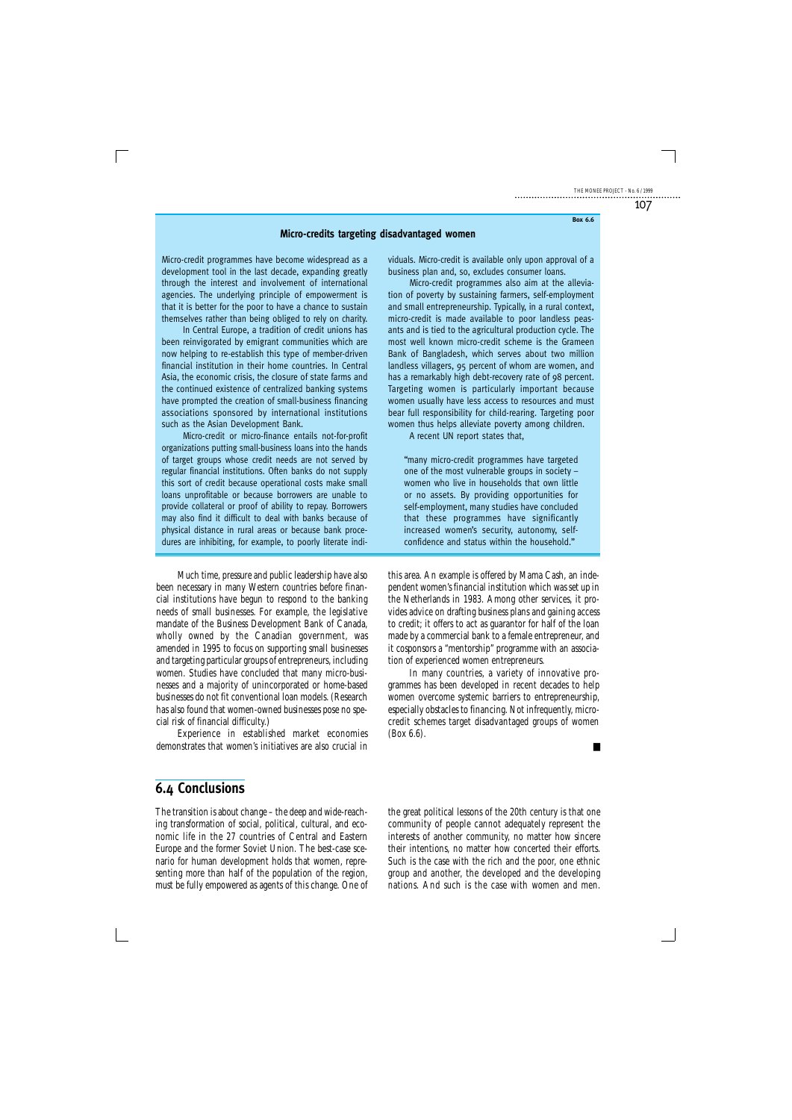### **Micro-credits targeting disadvantaged women**

Micro-credit programmes have become widespread as a development tool in the last decade, expanding greatly through the interest and involvement of international agencies. The underlying principle of empowerment is that it is better for the poor to have a chance to sustain themselves rather than being obliged to rely on charity.

In Central Europe, a tradition of credit unions has been reinvigorated by emigrant communities which are now helping to re-establish this type of member-driven financial institution in their home countries. In Central Asia, the economic crisis, the closure of state farms and the continued existence of centralized banking systems have prompted the creation of small-business financing associations sponsored by international institutions such as the Asian Development Bank.

Micro-credit or micro-finance entails not-for-profit organizations putting small-business loans into the hands of target groups whose credit needs are not served by regular financial institutions. Often banks do not supply this sort of credit because operational costs make small loans unprofitable or because borrowers are unable to provide collateral or proof of ability to repay. Borrowers may also find it difficult to deal with banks because of physical distance in rural areas or because bank procedures are inhibiting, for example, to poorly literate indi-

Much time, pressure and public leadership have also been necessary in many Western countries before financial institutions have begun to respond to the banking needs of small businesses. For example, the legislative mandate of the Business Development Bank of Canada, wholly owned by the Canadian government, was amended in 1995 to focus on supporting small businesses and targeting particular groups of entrepreneurs, including women. Studies have concluded that many micro-businesses and a majority of unincorporated or home-based businesses do not fit conventional loan models. (Research has also found that women-owned businesses pose no special risk of financial difficulty.)

Experience in established market economies demonstrates that women's initiatives are also crucial in

# **6.4 Conclusions**

The transition is about change – the deep and wide-reaching transformation of social, political, cultural, and economic life in the 27 countries of Central and Eastern Europe and the former Soviet Union. The best-case scenario for human development holds that women, representing more than half of the population of the region, must be fully empowered as agents of this change. One of viduals. Micro-credit is available only upon approval of a business plan and, so, excludes consumer loans.

Micro-credit programmes also aim at the alleviation of poverty by sustaining farmers, self-employment and small entrepreneurship. Typically, in a rural context, micro-credit is made available to poor landless peasants and is tied to the agricultural production cycle. The most well known micro-credit scheme is the Grameen Bank of Bangladesh, which serves about two million landless villagers, 95 percent of whom are women, and has a remarkably high debt-recovery rate of 98 percent. Targeting women is particularly important because women usually have less access to resources and must bear full responsibility for child-rearing. Targeting poor women thus helps alleviate poverty among children.

A recent UN report states that,

"many micro-credit programmes have targeted one of the most vulnerable groups in society – women who live in households that own little or no assets. By providing opportunities for self-employment, many studies have concluded that these programmes have significantly increased women's security, autonomy, selfconfidence and status within the household."

this area. An example is offered by Mama Cash, an independent women's financial institution which was set up in the Netherlands in 1983. Among other services, it provides advice on drafting business plans and gaining access to credit; it offers to act as guarantor for half of the loan made by a commercial bank to a female entrepreneur, and it cosponsors a "mentorship" programme with an association of experienced women entrepreneurs.

In many countries, a variety of innovative programmes has been developed in recent decades to help women overcome systemic barriers to entrepreneurship, especially obstacles to financing. Not infrequently, microcredit schemes target disadvantaged groups of women (Box 6.6).

■

the great political lessons of the 20th century is that one community of people cannot adequately represent the interests of another community, no matter how sincere their intentions, no matter how concerted their efforts. Such is the case with the rich and the poor, one ethnic group and another, the developed and the developing nations. And such is the case with women and men.